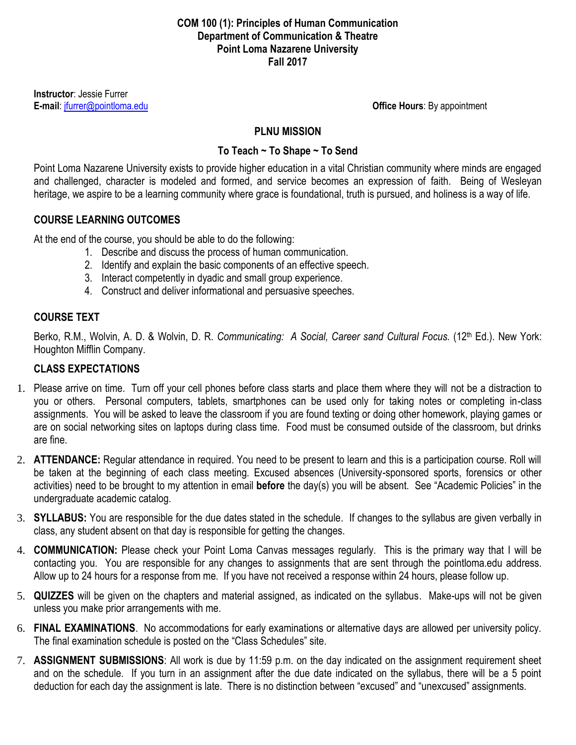### **COM 100 (1): Principles of Human Communication Department of Communication & Theatre Point Loma Nazarene University Fall 2017**

**Instructor**: Jessie Furrer

**E-mail**: jfurrer@pointloma.edu **Office Hours**: By appointment

## **PLNU MISSION**

## **To Teach ~ To Shape ~ To Send**

Point Loma Nazarene University exists to provide higher education in a vital Christian community where minds are engaged and challenged, character is modeled and formed, and service becomes an expression of faith. Being of Wesleyan heritage, we aspire to be a learning community where grace is foundational, truth is pursued, and holiness is a way of life.

## **COURSE LEARNING OUTCOMES**

At the end of the course, you should be able to do the following:

- 1. Describe and discuss the process of human communication.
- 2. Identify and explain the basic components of an effective speech.
- 3. Interact competently in dyadic and small group experience.
- 4. Construct and deliver informational and persuasive speeches.

# **COURSE TEXT**

Berko, R.M., Wolvin, A. D. & Wolvin, D. R. *Communicating: A Social, Career sand Cultural Focus.* (12<sup>th</sup> Ed.). New York: Houghton Mifflin Company.

# **CLASS EXPECTATIONS**

- 1. Please arrive on time. Turn off your cell phones before class starts and place them where they will not be a distraction to you or others. Personal computers, tablets, smartphones can be used only for taking notes or completing in-class assignments. You will be asked to leave the classroom if you are found texting or doing other homework, playing games or are on social networking sites on laptops during class time. Food must be consumed outside of the classroom, but drinks are fine.
- 2. **ATTENDANCE:** Regular attendance in required. You need to be present to learn and this is a participation course. Roll will be taken at the beginning of each class meeting. Excused absences (University-sponsored sports, forensics or other activities) need to be brought to my attention in email **before** the day(s) you will be absent. See "Academic Policies" in the undergraduate academic catalog.
- 3. **SYLLABUS:** You are responsible for the due dates stated in the schedule. If changes to the syllabus are given verbally in class, any student absent on that day is responsible for getting the changes.
- 4. **COMMUNICATION:** Please check your Point Loma Canvas messages regularly. This is the primary way that I will be contacting you. You are responsible for any changes to assignments that are sent through the pointloma.edu address. Allow up to 24 hours for a response from me. If you have not received a response within 24 hours, please follow up.
- 5. **QUIZZES** will be given on the chapters and material assigned, as indicated on the syllabus. Make-ups will not be given unless you make prior arrangements with me.
- 6. **FINAL EXAMINATIONS**. No accommodations for early examinations or alternative days are allowed per university policy. The final examination schedule is posted on the "Class Schedules" site.
- 7. **ASSIGNMENT SUBMISSIONS**: All work is due by 11:59 p.m. on the day indicated on the assignment requirement sheet and on the schedule. If you turn in an assignment after the due date indicated on the syllabus, there will be a 5 point deduction for each day the assignment is late. There is no distinction between "excused" and "unexcused" assignments.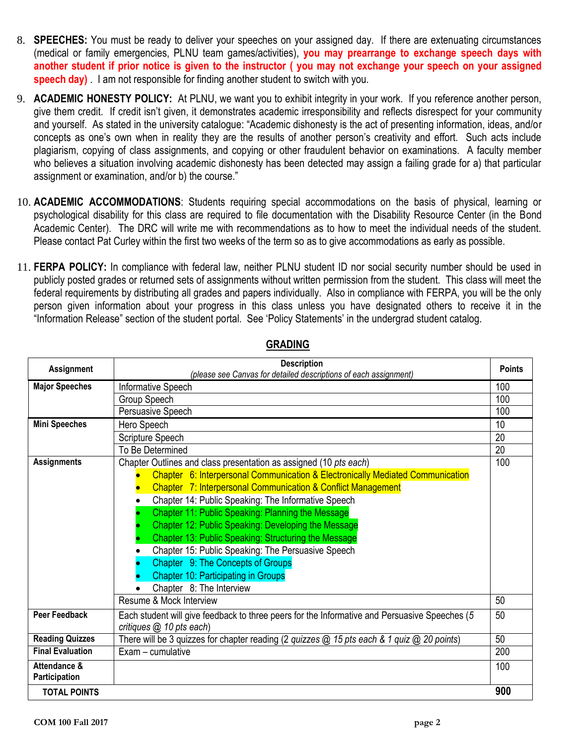- 8. **SPEECHES:** You must be ready to deliver your speeches on your assigned day. If there are extenuating circumstances (medical or family emergencies, PLNU team games/activities), **you may prearrange to exchange speech days with another student if prior notice is given to the instructor ( you may not exchange your speech on your assigned speech day)** . I am not responsible for finding another student to switch with you.
- 9. **ACADEMIC HONESTY POLICY:** At PLNU, we want you to exhibit integrity in your work. If you reference another person, give them credit. If credit isn't given, it demonstrates academic irresponsibility and reflects disrespect for your community and yourself. As stated in the university catalogue: "Academic dishonesty is the act of presenting information, ideas, and/or concepts as one's own when in reality they are the results of another person's creativity and effort. Such acts include plagiarism, copying of class assignments, and copying or other fraudulent behavior on examinations. A faculty member who believes a situation involving academic dishonesty has been detected may assign a failing grade for a) that particular assignment or examination, and/or b) the course."
- 10. **ACADEMIC ACCOMMODATIONS**: Students requiring special accommodations on the basis of physical, learning or psychological disability for this class are required to file documentation with the Disability Resource Center (in the Bond Academic Center). The DRC will write me with recommendations as to how to meet the individual needs of the student. Please contact Pat Curley within the first two weeks of the term so as to give accommodations as early as possible.
- 11. **FERPA POLICY:** In compliance with federal law, neither PLNU student ID nor social security number should be used in publicly posted grades or returned sets of assignments without written permission from the student. This class will meet the federal requirements by distributing all grades and papers individually. Also in compliance with FERPA, you will be the only person given information about your progress in this class unless you have designated others to receive it in the "Information Release" section of the student portal. See 'Policy Statements' in the undergrad student catalog.

| Assignment                          | <b>Description</b>                                                                            |                      |  |
|-------------------------------------|-----------------------------------------------------------------------------------------------|----------------------|--|
|                                     | (please see Canvas for detailed descriptions of each assignment)                              | <b>Points</b><br>100 |  |
| <b>Major Speeches</b>               | Informative Speech                                                                            |                      |  |
|                                     | Group Speech                                                                                  | 100                  |  |
|                                     | Persuasive Speech                                                                             | 100                  |  |
| <b>Mini Speeches</b><br>Hero Speech |                                                                                               | 10                   |  |
|                                     | Scripture Speech                                                                              | 20                   |  |
|                                     | To Be Determined                                                                              | 20                   |  |
| <b>Assignments</b>                  | Chapter Outlines and class presentation as assigned (10 pts each)                             | 100                  |  |
|                                     | Chapter 6: Interpersonal Communication & Electronically Mediated Communication                |                      |  |
|                                     | Chapter 7: Interpersonal Communication & Conflict Management                                  |                      |  |
|                                     | Chapter 14: Public Speaking: The Informative Speech                                           |                      |  |
|                                     | Chapter 11: Public Speaking: Planning the Message                                             |                      |  |
|                                     | Chapter 12: Public Speaking: Developing the Message                                           |                      |  |
|                                     | Chapter 13: Public Speaking: Structuring the Message                                          |                      |  |
|                                     | Chapter 15: Public Speaking: The Persuasive Speech                                            |                      |  |
|                                     | Chapter 9: The Concepts of Groups                                                             |                      |  |
|                                     | <b>Chapter 10: Participating in Groups</b>                                                    |                      |  |
|                                     | Chapter 8: The Interview                                                                      |                      |  |
|                                     | Resume & Mock Interview                                                                       | 50                   |  |
| <b>Peer Feedback</b>                | Each student will give feedback to three peers for the Informative and Persuasive Speeches (5 | 50                   |  |
|                                     | critiques @ 10 pts each)                                                                      |                      |  |
| <b>Reading Quizzes</b>              | There will be 3 quizzes for chapter reading (2 quizzes @ 15 pts each & 1 quiz @ 20 points)    | 50                   |  |
| <b>Final Evaluation</b>             | Exam - cumulative                                                                             | 200                  |  |
| Attendance &                        |                                                                                               | 100                  |  |
| Participation                       |                                                                                               |                      |  |
| <b>TOTAL POINTS</b>                 |                                                                                               | 900                  |  |

**GRADING**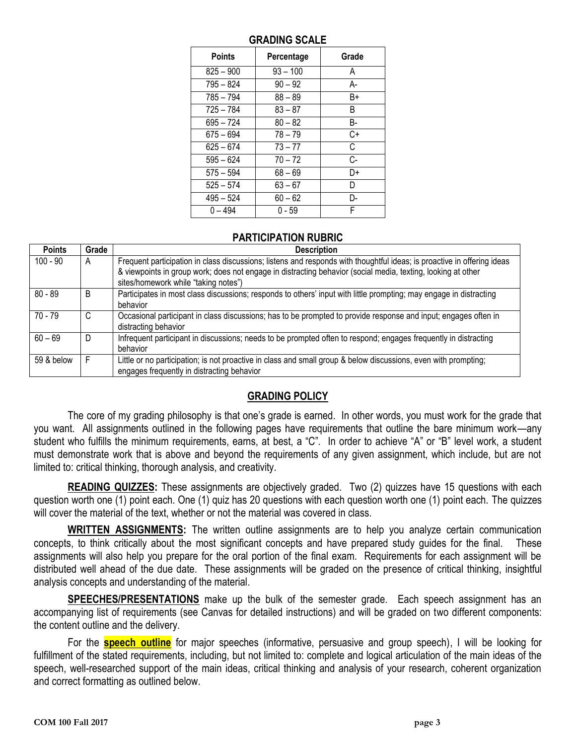| Points      | Percentage | Grade |
|-------------|------------|-------|
| $825 - 900$ | $93 - 100$ | A     |
| $795 - 824$ | $90 - 92$  | А-    |
| 785 – 794   | $88 - 89$  | B+    |
| $725 - 784$ | $83 - 87$  | B.    |
| 695 – 724   | $80 - 82$  | B-    |
| 675 – 694   | $78 - 79$  | C+    |
| $625 - 674$ | $73 - 77$  | C     |
| $595 - 624$ | $70 - 72$  | $C -$ |
| $575 - 594$ | 68 – 69    | D+    |
| $525 - 574$ | 63 – 67    | D     |
| $495 - 524$ | $60 - 62$  | D-    |
| $0 - 494$   | $0 - 59$   | F     |

# **GRADING SCALE**

### **PARTICIPATION RUBRIC**

| <b>Points</b> | Grade | <b>Description</b>                                                                                                      |
|---------------|-------|-------------------------------------------------------------------------------------------------------------------------|
| $100 - 90$    | A     | Frequent participation in class discussions; listens and responds with thoughtful ideas; is proactive in offering ideas |
|               |       | & viewpoints in group work; does not engage in distracting behavior (social media, texting, looking at other            |
|               |       | sites/homework while "taking notes")                                                                                    |
| $80 - 89$     | B     | Participates in most class discussions; responds to others' input with little prompting; may engage in distracting      |
|               |       | behavior                                                                                                                |
| 70 - 79       | C     | Occasional participant in class discussions; has to be prompted to provide response and input; engages often in         |
|               |       | distracting behavior                                                                                                    |
| $60 - 69$     | D     | Infrequent participant in discussions; needs to be prompted often to respond; engages frequently in distracting         |
|               |       | behavior                                                                                                                |
| 59 & below    |       | Little or no participation; is not proactive in class and small group & below discussions, even with prompting;         |
|               |       | engages frequently in distracting behavior                                                                              |

# **GRADING POLICY**

The core of my grading philosophy is that one's grade is earned. In other words, you must work for the grade that you want. All assignments outlined in the following pages have requirements that outline the bare minimum work—any student who fulfills the minimum requirements, earns, at best, a "C". In order to achieve "A" or "B" level work, a student must demonstrate work that is above and beyond the requirements of any given assignment, which include, but are not limited to: critical thinking, thorough analysis, and creativity.

**READING QUIZZES:** These assignments are objectively graded. Two (2) quizzes have 15 questions with each question worth one (1) point each. One (1) quiz has 20 questions with each question worth one (1) point each. The quizzes will cover the material of the text, whether or not the material was covered in class.

**WRITTEN ASSIGNMENTS:** The written outline assignments are to help you analyze certain communication concepts, to think critically about the most significant concepts and have prepared study guides for the final. These assignments will also help you prepare for the oral portion of the final exam. Requirements for each assignment will be distributed well ahead of the due date. These assignments will be graded on the presence of critical thinking, insightful analysis concepts and understanding of the material.

**SPEECHES/PRESENTATIONS** make up the bulk of the semester grade. Each speech assignment has an accompanying list of requirements (see Canvas for detailed instructions) and will be graded on two different components: the content outline and the delivery.

For the **speech outline** for major speeches (informative, persuasive and group speech), I will be looking for fulfillment of the stated requirements, including, but not limited to: complete and logical articulation of the main ideas of the speech, well-researched support of the main ideas, critical thinking and analysis of your research, coherent organization and correct formatting as outlined below.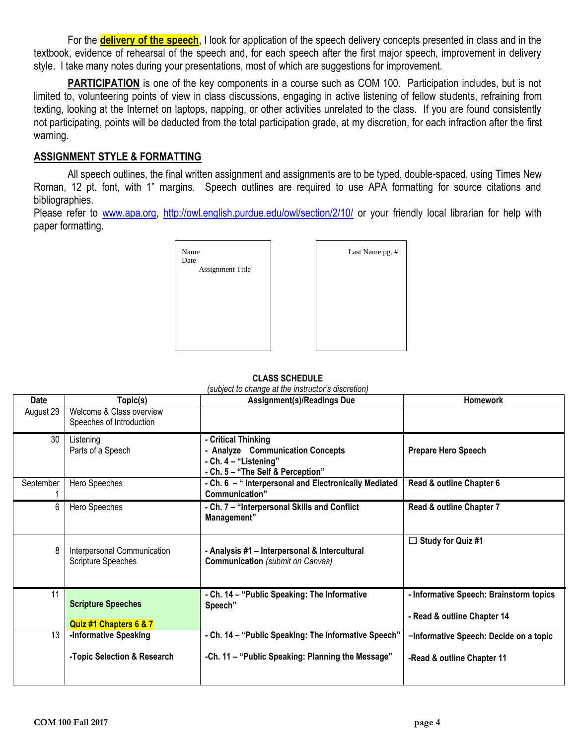For the **delivery of the speech**, I look for application of the speech delivery concepts presented in class and in the textbook, evidence of rehearsal of the speech and, for each speech after the first major speech, improvement in delivery style. I take many notes during your presentations, most of which are suggestions for improvement.

**PARTICIPATION** is one of the key components in a course such as COM 100. Participation includes, but is not limited to, volunteering points of view in class discussions, engaging in active listening of fellow students, refraining from texting, looking at the Internet on laptops, napping, or other activities unrelated to the class. If you are found consistently not participating, points will be deducted from the total participation grade, at my discretion, for each infraction after the first warning.

# **ASSIGNMENT STYLE & FORMATTING**

All speech outlines, the final written assignment and assignments are to be typed, double-spaced, using Times New Roman, 12 pt. font, with 1" margins. Speech outlines are required to use APA formatting for source citations and bibliographies.

Please refer to [www.apa.org,](http://www.apa.org/)<http://owl.english.purdue.edu/owl/section/2/10/> or your friendly local librarian for help with paper formatting.



| Last Name pg. # |  |
|-----------------|--|
|                 |  |
|                 |  |
|                 |  |
|                 |  |

#### **CLASS SCHEDULE** *(subject to change at the instructor's discretion)*

| Date      | Topic(s)                                                 | <b>Assignment(s)/Readings Due</b>                                                                                     | <b>Homework</b>                                                        |
|-----------|----------------------------------------------------------|-----------------------------------------------------------------------------------------------------------------------|------------------------------------------------------------------------|
| August 29 | Welcome & Class overview<br>Speeches of Introduction     |                                                                                                                       |                                                                        |
| 30        | Listening<br>Parts of a Speech                           | - Critical Thinking<br>- Analyze Communication Concepts<br>- Ch. 4 - "Listening"<br>- Ch. 5 - "The Self & Perception" | <b>Prepare Hero Speech</b>                                             |
| September | Hero Speeches                                            | - Ch. 6 - " Interpersonal and Electronically Mediated<br>Communication"                                               | Read & outline Chapter 6                                               |
| 6         | Hero Speeches                                            | - Ch. 7 - "Interpersonal Skills and Conflict<br>Management"                                                           | Read & outline Chapter 7                                               |
| 8         | Interpersonal Communication<br><b>Scripture Speeches</b> | - Analysis #1 - Interpersonal & Intercultural<br><b>Communication</b> (submit on Canvas)                              | $\Box$ Study for Quiz #1                                               |
| 11        | <b>Scripture Speeches</b><br>Quiz #1 Chapters 6 & 7      | - Ch. 14 - "Public Speaking: The Informative<br>Speech"                                                               | - Informative Speech: Brainstorm topics<br>- Read & outline Chapter 14 |
| 13        | -Informative Speaking                                    | - Ch. 14 - "Public Speaking: The Informative Speech"                                                                  | -Informative Speech: Decide on a topic                                 |
|           | -Topic Selection & Research                              | -Ch. 11 - "Public Speaking: Planning the Message"                                                                     | -Read & outline Chapter 11                                             |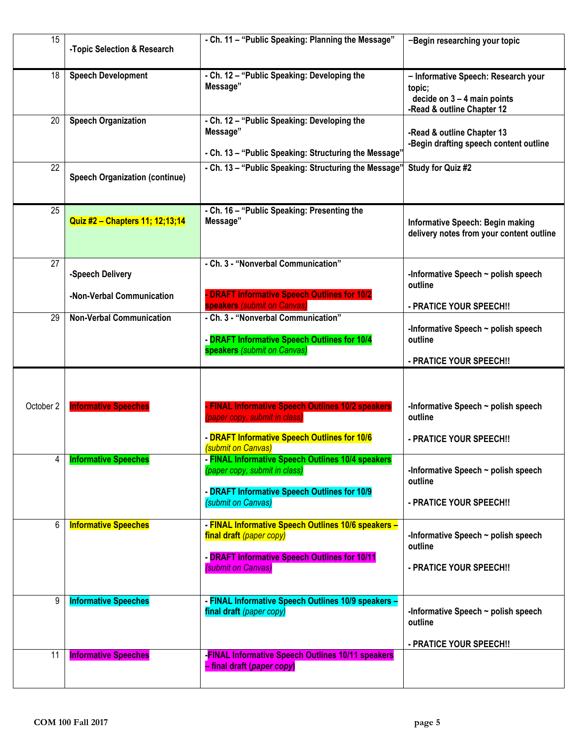| 15              | -Topic Selection & Research                   | - Ch. 11 - "Public Speaking: Planning the Message"                                                                                                                             | -Begin researching your topic                                                                                |
|-----------------|-----------------------------------------------|--------------------------------------------------------------------------------------------------------------------------------------------------------------------------------|--------------------------------------------------------------------------------------------------------------|
| 18              | <b>Speech Development</b>                     | - Ch. 12 - "Public Speaking: Developing the<br>Message"                                                                                                                        | - Informative Speech: Research your<br>topic;<br>decide on $3 - 4$ main points<br>-Read & outline Chapter 12 |
| 20              | <b>Speech Organization</b>                    | - Ch. 12 - "Public Speaking: Developing the<br>Message"<br>- Ch. 13 - "Public Speaking: Structuring the Message"                                                               | -Read & outline Chapter 13<br>-Begin drafting speech content outline                                         |
| $\overline{22}$ | <b>Speech Organization (continue)</b>         | - Ch. 13 - "Public Speaking: Structuring the Message"                                                                                                                          | Study for Quiz #2                                                                                            |
| 25              | Quiz #2 - Chapters 11; 12;13;14               | - Ch. 16 - "Public Speaking: Presenting the<br>Message"                                                                                                                        | Informative Speech: Begin making<br>delivery notes from your content outline                                 |
| 27              | -Speech Delivery<br>-Non-Verbal Communication | - Ch. 3 - "Nonverbal Communication"<br><b>DRAFT Informative Speech Outlines for 10/2</b><br>speakers (submit on Canvas)                                                        | -Informative Speech ~ polish speech<br>outline<br>- PRATICE YOUR SPEECH!!                                    |
| 29              | <b>Non-Verbal Communication</b>               | - Ch. 3 - "Nonverbal Communication"<br>- DRAFT Informative Speech Outlines for 10/4<br>speakers (submit on Canvas)                                                             | -Informative Speech ~ polish speech<br>outline<br>- PRATICE YOUR SPEECH!!                                    |
| October 2       | <b>Informative Speeches</b>                   | <b>FINAL Informative Speech Outlines 10/2 speakers</b><br>(paper copy, submit in class)<br>- <b>DRAFT Informative Speech Outlines for 10/6</b>                                 | -Informative Speech ~ polish speech<br>outline<br>- PRATICE YOUR SPEECH!!                                    |
| 4               | <b>Informative Speeches</b>                   | (submit on Canvas)<br>- FINAL Informative Speech Outlines 10/4 speakers<br>(paper copy, submit in class)<br>- DRAFT Informative Speech Outlines for 10/9<br>(submit on Canvas) | -Informative Speech $\sim$ polish speech<br>outline<br>- PRATICE YOUR SPEECH!!                               |
| 6               | <b>Informative Speeches</b>                   | - FINAL Informative Speech Outlines 10/6 speakers -<br>final draft (paper copy)<br><b>DRAFT Informative Speech Outlines for 10/11</b><br>(submit on Canvas)                    | -Informative Speech $\sim$ polish speech<br>outline<br>- PRATICE YOUR SPEECH!!                               |
| 9               | <b>Informative Speeches</b>                   | - FINAL Informative Speech Outlines 10/9 speakers -<br>final draft (paper copy)                                                                                                | -Informative Speech $\sim$ polish speech<br>outline<br>- PRATICE YOUR SPEECH!!                               |
| 11              | <b>Informative Speeches</b>                   | <b>FINAL Informative Speech Outlines 10/11 speakers</b><br>- final draft (paper copy)                                                                                          |                                                                                                              |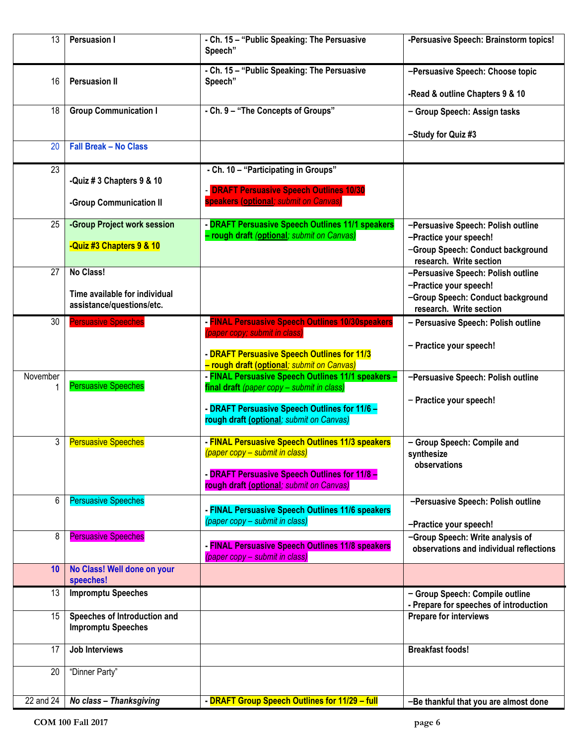| 13              | <b>Persuasion I</b>                                        | - Ch. 15 - "Public Speaking: The Persuasive<br>Speech"                                           | -Persuasive Speech: Brainstorm topics!                                      |
|-----------------|------------------------------------------------------------|--------------------------------------------------------------------------------------------------|-----------------------------------------------------------------------------|
| 16              | <b>Persuasion II</b>                                       | - Ch. 15 - "Public Speaking: The Persuasive<br>Speech"                                           | -Persuasive Speech: Choose topic<br>-Read & outline Chapters 9 & 10         |
| 18              | <b>Group Communication I</b>                               | - Ch. 9 - "The Concepts of Groups"                                                               | - Group Speech: Assign tasks                                                |
|                 |                                                            |                                                                                                  | -Study for Quiz #3                                                          |
| 20              | <b>Fall Break - No Class</b>                               |                                                                                                  |                                                                             |
| 23              | -Quiz # 3 Chapters 9 & 10                                  | - Ch. 10 - "Participating in Groups"<br>- DRAFT Persuasive Speech Outlines 10/30                 |                                                                             |
|                 | -Group Communication II                                    | speakers (optional; submit on Canvas)                                                            |                                                                             |
| 25              | -Group Project work session                                | - DRAFT Persuasive Speech Outlines 11/1 speakers<br>- rough draft (optional; submit on Canvas)   | -Persuasive Speech: Polish outline<br>-Practice your speech!                |
|                 | -Quiz #3 Chapters 9 & 10                                   |                                                                                                  | -Group Speech: Conduct background<br>research. Write section                |
| 27              | No Class!                                                  |                                                                                                  | -Persuasive Speech: Polish outline<br>-Practice your speech!                |
|                 | Time available for individual<br>assistance/questions/etc. |                                                                                                  | -Group Speech: Conduct background<br>research. Write section                |
| 30              | <b>Persuasive Speeches</b>                                 | - FINAL Persuasive Speech Outlines 10/30speakers<br>(paper copy; submit in class)                | - Persuasive Speech: Polish outline                                         |
|                 |                                                            | - DRAFT Persuasive Speech Outlines for 11/3<br>- rough draft (optional; submit on Canvas)        | - Practice your speech!                                                     |
| November<br>1   | <b>Persuasive Speeches</b>                                 | - FINAL Persuasive Speech Outlines 11/1 speakers -<br>final draft (paper copy - submit in class) | -Persuasive Speech: Polish outline                                          |
|                 |                                                            | - DRAFT Persuasive Speech Outlines for 11/6 -<br>rough draft (optional; submit on Canvas)        | - Practice your speech!                                                     |
| 3               | <b>Persuasive Speeches</b>                                 | - FINAL Persuasive Speech Outlines 11/3 speakers<br>(paper copy - submit in class)               | - Group Speech: Compile and<br>synthesize                                   |
|                 |                                                            | - DRAFT Persuasive Speech Outlines for 11/8 -<br>rough draft (optional; submit on Canvas)        | observations                                                                |
| 6               | <b>Persuasive Speeches</b>                                 | - FINAL Persuasive Speech Outlines 11/6 speakers<br>(paper copy – submit in class)               | -Persuasive Speech: Polish outline<br>-Practice your speech!                |
| 8               | <b>Persuasive Speeches</b>                                 | - FINAL Persuasive Speech Outlines 11/8 speakers<br>(paper copy – submit in class)               | -Group Speech: Write analysis of<br>observations and individual reflections |
| 10 <sup>°</sup> | No Class! Well done on your<br>speeches!                   |                                                                                                  |                                                                             |
| 13              | <b>Impromptu Speeches</b>                                  |                                                                                                  | - Group Speech: Compile outline<br>- Prepare for speeches of introduction   |
| 15              | Speeches of Introduction and<br><b>Impromptu Speeches</b>  |                                                                                                  | <b>Prepare for interviews</b>                                               |
| 17              | Job Interviews                                             |                                                                                                  | <b>Breakfast foods!</b>                                                     |
| 20              | "Dinner Party"                                             |                                                                                                  |                                                                             |
| 22 and 24       | No class - Thanksgiving                                    | - DRAFT Group Speech Outlines for 11/29 - full                                                   | -Be thankful that you are almost done                                       |